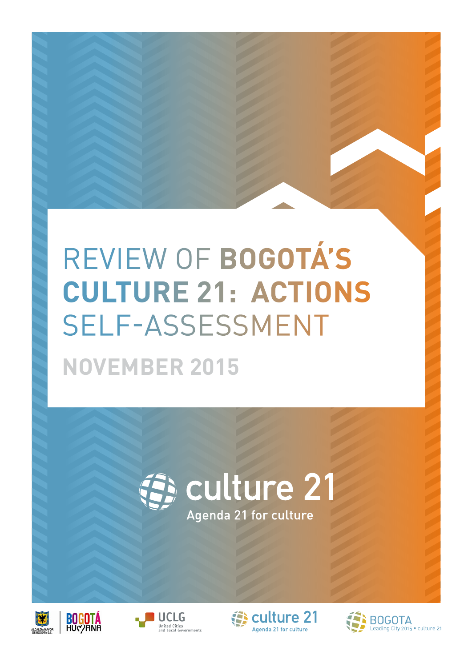## REVIEW OF **BOGOTÁ'S CULTURE 21: ACTIONS**  SELF-ASSESSMENT **NOVEMBER 2015**





**BOGOTA** 





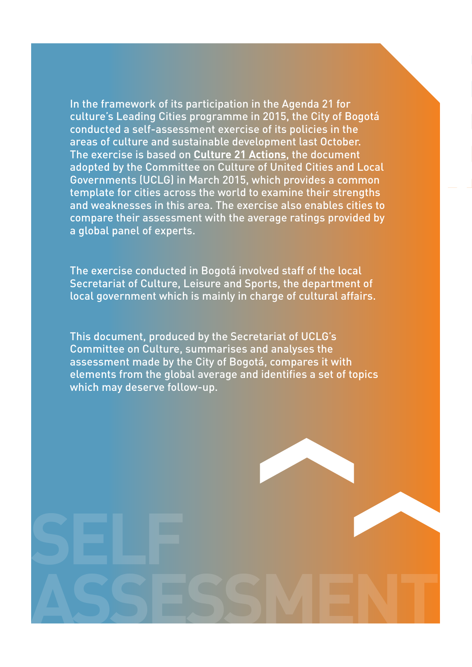In the framework of its participation in the Agenda 21 for culture's Leading Cities programme in 2015, the City of Bogotá conducted a self-assessment exercise of its policies in the areas of culture and sustainable development last October. The exercise is based on **[Culture 21 Actions](http://agenda21culture.net/images/a21c/nueva-A21C/C21A/C21_2015web_en.pdf)**, the document adopted by the Committee on Culture of United Cities and Local Governments (UCLG) in March 2015, which provides a common template for cities across the world to examine their strengths and weaknesses in this area. The exercise also enables cities to compare their assessment with the average ratings provided by a global panel of experts.

The exercise conducted in Bogotá involved staff of the local Secretariat of Culture, Leisure and Sports, the department of local government which is mainly in charge of cultural affairs.

This document, produced by the Secretariat of UCLG's Committee on Culture, summarises and analyses the assessment made by the City of Bogotá, compares it with elements from the global average and identifies a set of topics which may deserve follow-up.

**ASSESSMENT**

**SELF**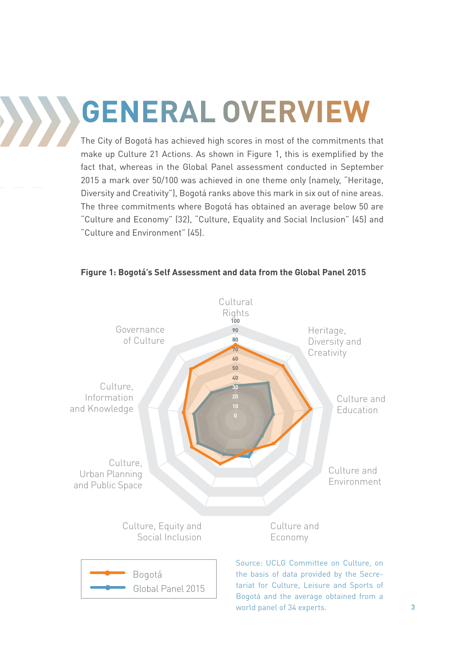**GENERAL OVERVIEW**

The City of Bogotá has achieved high scores in most of the commitments that make up Culture 21 Actions. As shown in Figure 1, this is exemplified by the fact that, whereas in the Global Panel assessment conducted in September 2015 a mark over 50/100 was achieved in one theme only (namely, "Heritage, Diversity and Creativity"), Bogotá ranks above this mark in six out of nine areas. The three commitments where Bogotá has obtained an average below 50 are "Culture and Economy" (32), "Culture, Equality and Social Inclusion" (45) and "Culture and Environment" (45).



#### **Figure 1: Bogotá's Self Assessment and data from the Global Panel 2015**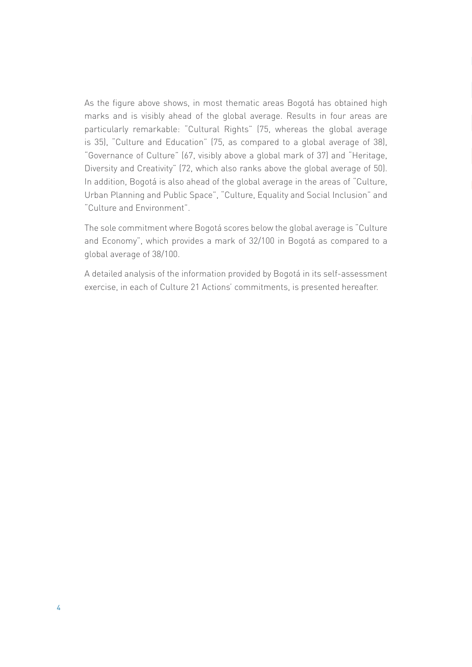As the figure above shows, in most thematic areas Bogotá has obtained high marks and is visibly ahead of the global average. Results in four areas are particularly remarkable: "Cultural Rights" (75, whereas the global average is 35), "Culture and Education" (75, as compared to a global average of 38), "Governance of Culture" (67, visibly above a global mark of 37) and "Heritage, Diversity and Creativity" (72, which also ranks above the global average of 50). In addition, Bogotá is also ahead of the global average in the areas of "Culture, Urban Planning and Public Space", "Culture, Equality and Social Inclusion" and "Culture and Environment".

The sole commitment where Bogotá scores below the global average is "Culture and Economy", which provides a mark of 32/100 in Bogotá as compared to a global average of 38/100.

A detailed analysis of the information provided by Bogotá in its self-assessment exercise, in each of Culture 21 Actions' commitments, is presented hereafter.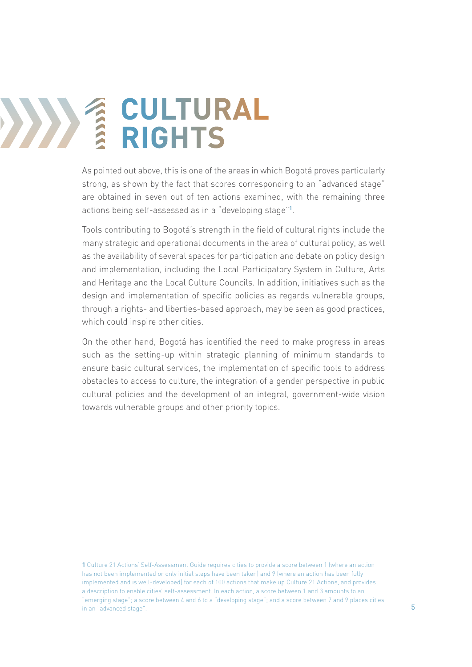## **12 CULTURAL**<br> **12 RIGHTS RIGHTS**

As pointed out above, this is one of the areas in which Bogotá proves particularly strong, as shown by the fact that scores corresponding to an "advanced stage" are obtained in seven out of ten actions examined, with the remaining three actions being self-assessed as in a "developing stage"**<sup>1</sup>** .

Tools contributing to Bogotá's strength in the field of cultural rights include the many strategic and operational documents in the area of cultural policy, as well as the availability of several spaces for participation and debate on policy design and implementation, including the Local Participatory System in Culture, Arts and Heritage and the Local Culture Councils. In addition, initiatives such as the design and implementation of specific policies as regards vulnerable groups, through a rights- and liberties-based approach, may be seen as good practices, which could inspire other cities.

On the other hand, Bogotá has identified the need to make progress in areas such as the setting-up within strategic planning of minimum standards to ensure basic cultural services, the implementation of specific tools to address obstacles to access to culture, the integration of a gender perspective in public cultural policies and the development of an integral, government-wide vision towards vulnerable groups and other priority topics.

**<sup>1</sup>** Culture 21 Actions' Self-Assessment Guide requires cities to provide a score between 1 (where an action has not been implemented or only initial steps have been taken) and 9 (where an action has been fully implemented and is well-developed) for each of 100 actions that make up Culture 21 Actions, and provides a description to enable cities' self-assessment. In each action, a score between 1 and 3 amounts to an "emerging stage"; a score between 4 and 6 to a "developing stage"; and a score between 7 and 9 places cities in an "advanced stage".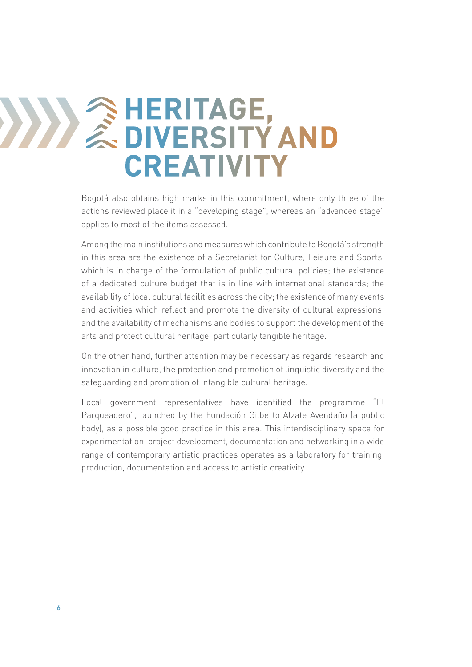#### **2 HERITAGE,<br>
2 DIVERSITY DIVERSITY AND CREATIVITY**

Bogotá also obtains high marks in this commitment, where only three of the actions reviewed place it in a "developing stage", whereas an "advanced stage" applies to most of the items assessed.

Among the main institutions and measures which contribute to Bogotá's strength in this area are the existence of a Secretariat for Culture, Leisure and Sports, which is in charge of the formulation of public cultural policies; the existence of a dedicated culture budget that is in line with international standards; the availability of local cultural facilities across the city; the existence of many events and activities which reflect and promote the diversity of cultural expressions; and the availability of mechanisms and bodies to support the development of the arts and protect cultural heritage, particularly tangible heritage.

On the other hand, further attention may be necessary as regards research and innovation in culture, the protection and promotion of linguistic diversity and the safeguarding and promotion of intangible cultural heritage.

Local government representatives have identified the programme "El Parqueadero", launched by the Fundación Gilberto Alzate Avendaño (a public body), as a possible good practice in this area. This interdisciplinary space for experimentation, project development, documentation and networking in a wide range of contemporary artistic practices operates as a laboratory for training, production, documentation and access to artistic creativity.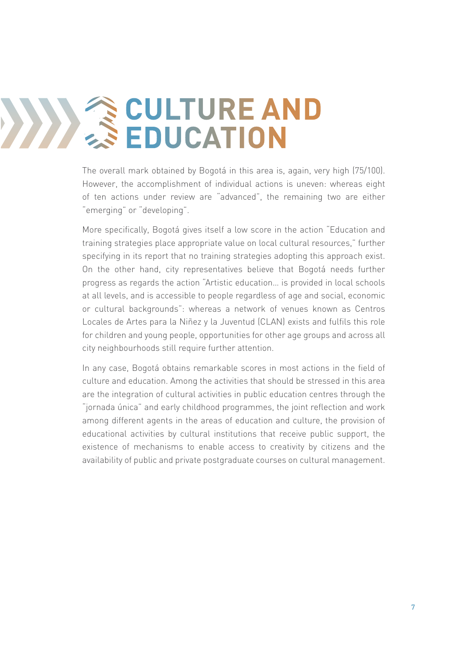## **CULTURE AND EDUCATION**

The overall mark obtained by Bogotá in this area is, again, very high (75/100). However, the accomplishment of individual actions is uneven: whereas eight of ten actions under review are "advanced", the remaining two are either "emerging" or "developing".

More specifically, Bogotá gives itself a low score in the action "Education and training strategies place appropriate value on local cultural resources," further specifying in its report that no training strategies adopting this approach exist. On the other hand, city representatives believe that Bogotá needs further progress as regards the action "Artistic education… is provided in local schools at all levels, and is accessible to people regardless of age and social, economic or cultural backgrounds": whereas a network of venues known as Centros Locales de Artes para la Niñez y la Juventud (CLAN) exists and fulfils this role for children and young people, opportunities for other age groups and across all city neighbourhoods still require further attention.

In any case, Bogotá obtains remarkable scores in most actions in the field of culture and education. Among the activities that should be stressed in this area are the integration of cultural activities in public education centres through the "jornada única" and early childhood programmes, the joint reflection and work among different agents in the areas of education and culture, the provision of educational activities by cultural institutions that receive public support, the existence of mechanisms to enable access to creativity by citizens and the availability of public and private postgraduate courses on cultural management.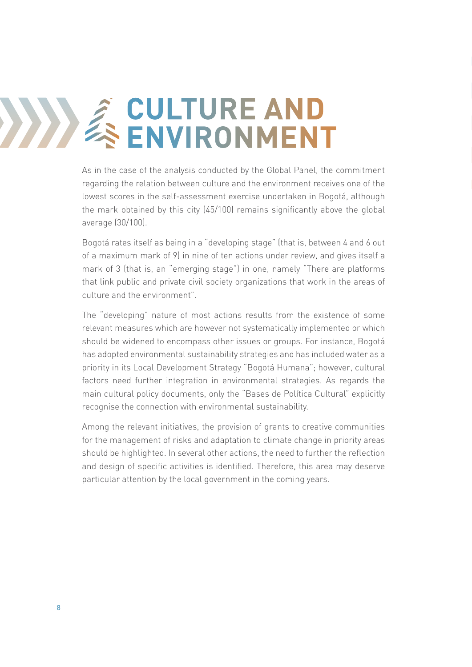## **4 CULTURE AND<br>ENVIRONMENT ENVIRONMENT**

As in the case of the analysis conducted by the Global Panel, the commitment regarding the relation between culture and the environment receives one of the lowest scores in the self-assessment exercise undertaken in Bogotá, although the mark obtained by this city (45/100) remains significantly above the global average (30/100).

Bogotá rates itself as being in a "developing stage" (that is, between 4 and 6 out of a maximum mark of 9) in nine of ten actions under review, and gives itself a mark of 3 (that is, an "emerging stage") in one, namely "There are platforms that link public and private civil society organizations that work in the areas of culture and the environment".

The "developing" nature of most actions results from the existence of some relevant measures which are however not systematically implemented or which should be widened to encompass other issues or groups. For instance, Bogotá has adopted environmental sustainability strategies and has included water as a priority in its Local Development Strategy "Bogotá Humana"; however, cultural factors need further integration in environmental strategies. As regards the main cultural policy documents, only the "Bases de Política Cultural" explicitly recognise the connection with environmental sustainability.

Among the relevant initiatives, the provision of grants to creative communities for the management of risks and adaptation to climate change in priority areas should be highlighted. In several other actions, the need to further the reflection and design of specific activities is identified. Therefore, this area may deserve particular attention by the local government in the coming years.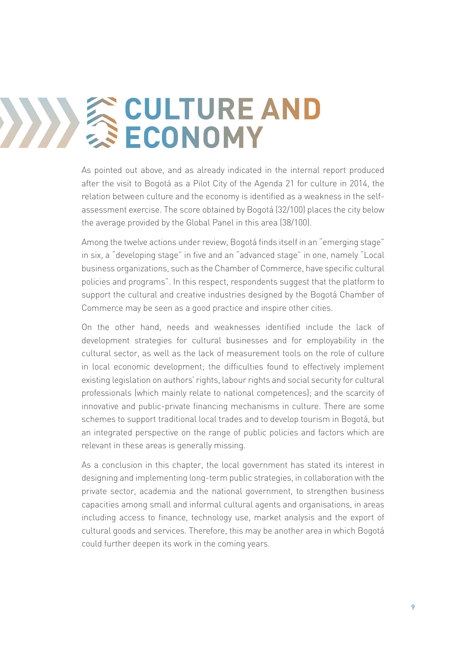## **SCULTURE AND ECONOMY**

As pointed out above, and as already indicated in the internal report produced after the visit to Bogotá as a Pilot City of the Agenda 21 for culture in 2014, the relation between culture and the economy is identified as a weakness in the selfassessment exercise. The score obtained by Bogotá (32/100) places the city below the average provided by the Global Panel in this area (38/100).

Among the twelve actions under review, Bogotá finds itself in an "emerging stage" in six, a "developing stage" in five and an "advanced stage" in one, namely "Local business organizations, such as the Chamber of Commerce, have specific cultural policies and programs". In this respect, respondents suggest that the platform to support the cultural and creative industries designed by the Bogotá Chamber of Commerce may be seen as a good practice and inspire other cities.

On the other hand, needs and weaknesses identified include the lack of development strategies for cultural businesses and for employability in the cultural sector, as well as the lack of measurement tools on the role of culture in local economic development; the difficulties found to effectively implement existing legislation on authors' rights, labour rights and social security for cultural professionals (which mainly relate to national competences); and the scarcity of innovative and public-private financing mechanisms in culture. There are some schemes to support traditional local trades and to develop tourism in Bogotá, but an integrated perspective on the range of public policies and factors which are relevant in these areas is generally missing.

As a conclusion in this chapter, the local government has stated its interest in designing and implementing long-term public strategies, in collaboration with the private sector, academia and the national government, to strengthen business capacities among small and informal cultural agents and organisations, in areas including access to finance, technology use, market analysis and the export of cultural goods and services. Therefore, this may be another area in which Bogotá could further deepen its work in the coming years.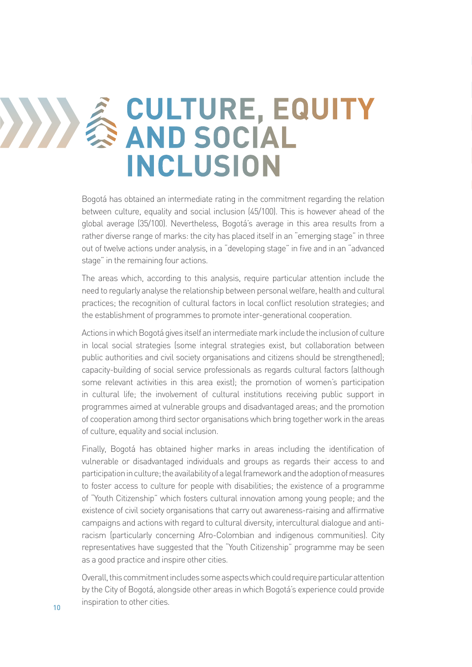#### **EQUITURE, EQUITY**<br> **EXAMP SOCIAL AND SOCIAL INCLUSION**

Bogotá has obtained an intermediate rating in the commitment regarding the relation between culture, equality and social inclusion (45/100). This is however ahead of the global average (35/100). Nevertheless, Bogotá's average in this area results from a rather diverse range of marks: the city has placed itself in an "emerging stage" in three out of twelve actions under analysis, in a "developing stage" in five and in an "advanced stage" in the remaining four actions.

The areas which, according to this analysis, require particular attention include the need to regularly analyse the relationship between personal welfare, health and cultural practices; the recognition of cultural factors in local conflict resolution strategies; and the establishment of programmes to promote inter-generational cooperation.

Actions in which Bogotá gives itself an intermediate mark include the inclusion of culture in local social strategies (some integral strategies exist, but collaboration between public authorities and civil society organisations and citizens should be strengthened); capacity-building of social service professionals as regards cultural factors (although some relevant activities in this area exist); the promotion of women's participation in cultural life; the involvement of cultural institutions receiving public support in programmes aimed at vulnerable groups and disadvantaged areas; and the promotion of cooperation among third sector organisations which bring together work in the areas of culture, equality and social inclusion.

Finally, Bogotá has obtained higher marks in areas including the identification of vulnerable or disadvantaged individuals and groups as regards their access to and participation in culture; the availability of a legal framework and the adoption of measures to foster access to culture for people with disabilities; the existence of a programme of "Youth Citizenship" which fosters cultural innovation among young people; and the existence of civil society organisations that carry out awareness-raising and affirmative campaigns and actions with regard to cultural diversity, intercultural dialogue and antiracism (particularly concerning Afro-Colombian and indigenous communities). City representatives have suggested that the "Youth Citizenship" programme may be seen as a good practice and inspire other cities.

Overall, this commitment includes some aspects which could require particular attention by the City of Bogotá, alongside other areas in which Bogotá's experience could provide inspiration to other cities.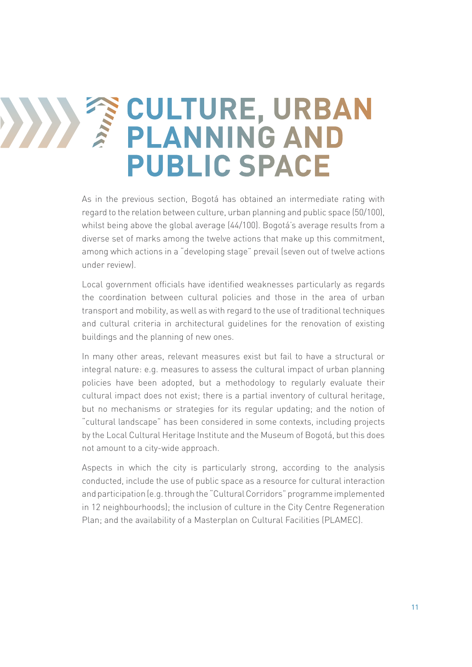### *TE CULTURE, URBAN*<br> *FILANNING AND* **PLANNING AND PUBLIC SPACE**

As in the previous section, Bogotá has obtained an intermediate rating with regard to the relation between culture, urban planning and public space (50/100), whilst being above the global average (44/100). Bogotá's average results from a diverse set of marks among the twelve actions that make up this commitment, among which actions in a "developing stage" prevail (seven out of twelve actions under review).

Local government officials have identified weaknesses particularly as regards the coordination between cultural policies and those in the area of urban transport and mobility, as well as with regard to the use of traditional techniques and cultural criteria in architectural guidelines for the renovation of existing buildings and the planning of new ones.

In many other areas, relevant measures exist but fail to have a structural or integral nature: e.g. measures to assess the cultural impact of urban planning policies have been adopted, but a methodology to regularly evaluate their cultural impact does not exist; there is a partial inventory of cultural heritage, but no mechanisms or strategies for its regular updating; and the notion of "cultural landscape" has been considered in some contexts, including projects by the Local Cultural Heritage Institute and the Museum of Bogotá, but this does not amount to a city-wide approach.

Aspects in which the city is particularly strong, according to the analysis conducted, include the use of public space as a resource for cultural interaction and participation (e.g. through the "Cultural Corridors" programme implemented in 12 neighbourhoods); the inclusion of culture in the City Centre Regeneration Plan; and the availability of a Masterplan on Cultural Facilities (PLAMEC).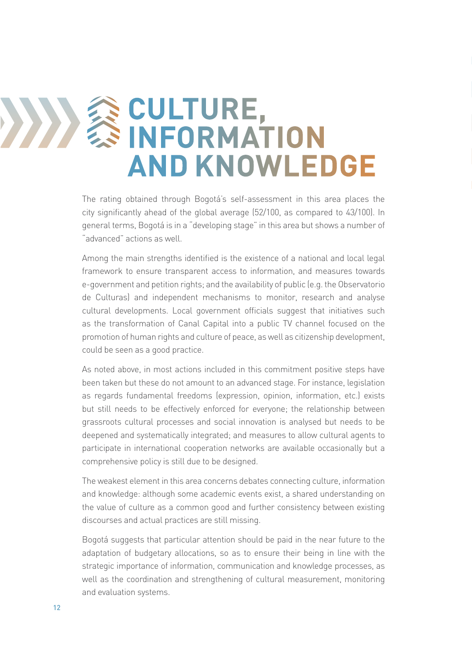### **EQUETURE,<br>
INFORMAT INFORMATION AND KNOWLEDGE**

The rating obtained through Bogotá's self-assessment in this area places the city significantly ahead of the global average (52/100, as compared to 43/100). In general terms, Bogotá is in a "developing stage" in this area but shows a number of "advanced" actions as well.

Among the main strengths identified is the existence of a national and local legal framework to ensure transparent access to information, and measures towards e-government and petition rights; and the availability of public (e.g. the Observatorio de Culturas) and independent mechanisms to monitor, research and analyse cultural developments. Local government officials suggest that initiatives such as the transformation of Canal Capital into a public TV channel focused on the promotion of human rights and culture of peace, as well as citizenship development, could be seen as a good practice.

As noted above, in most actions included in this commitment positive steps have been taken but these do not amount to an advanced stage. For instance, legislation as regards fundamental freedoms (expression, opinion, information, etc.) exists but still needs to be effectively enforced for everyone; the relationship between grassroots cultural processes and social innovation is analysed but needs to be deepened and systematically integrated; and measures to allow cultural agents to participate in international cooperation networks are available occasionally but a comprehensive policy is still due to be designed.

The weakest element in this area concerns debates connecting culture, information and knowledge: although some academic events exist, a shared understanding on the value of culture as a common good and further consistency between existing discourses and actual practices are still missing.

Bogotá suggests that particular attention should be paid in the near future to the adaptation of budgetary allocations, so as to ensure their being in line with the strategic importance of information, communication and knowledge processes, as well as the coordination and strengthening of cultural measurement, monitoring and evaluation systems.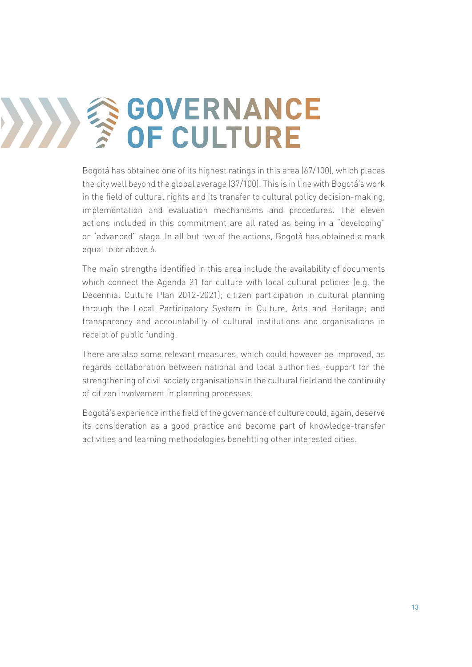## **GOVERNANCE OF CULTURE**

Bogotá has obtained one of its highest ratings in this area (67/100), which places the city well beyond the global average (37/100). This is in line with Bogotá's work in the field of cultural rights and its transfer to cultural policy decision-making, implementation and evaluation mechanisms and procedures. The eleven actions included in this commitment are all rated as being in a "developing" or "advanced" stage. In all but two of the actions, Bogotá has obtained a mark equal to or above 6.

The main strengths identified in this area include the availability of documents which connect the Agenda 21 for culture with local cultural policies (e.g. the Decennial Culture Plan 2012-2021); citizen participation in cultural planning through the Local Participatory System in Culture, Arts and Heritage; and transparency and accountability of cultural institutions and organisations in receipt of public funding.

There are also some relevant measures, which could however be improved, as regards collaboration between national and local authorities, support for the strengthening of civil society organisations in the cultural field and the continuity of citizen involvement in planning processes.

Bogotá's experience in the field of the governance of culture could, again, deserve its consideration as a good practice and become part of knowledge-transfer activities and learning methodologies benefitting other interested cities.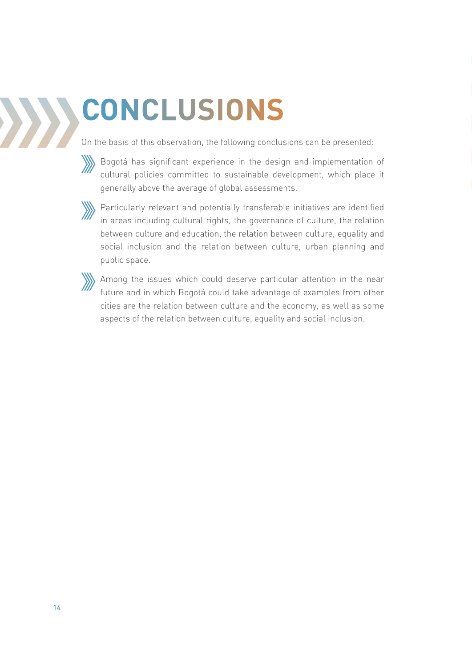## **CONCLUSIONS**

On the basis of this observation, the following conclusions can be presented:



Bogotá has significant experience in the design and implementation of cultural policies committed to sustainable development, which place it generally above the average of global assessments.



**W** Particularly relevant and potentially transferable initiatives are identified in areas including cultural rights, the governance of culture, the relation between culture and education, the relation between culture, equality and social inclusion and the relation between culture, urban planning and public space.



Among the issues which could deserve particular attention in the near future and in which Bogotá could take advantage of examples from other cities are the relation between culture and the economy, as well as some aspects of the relation between culture, equality and social inclusion.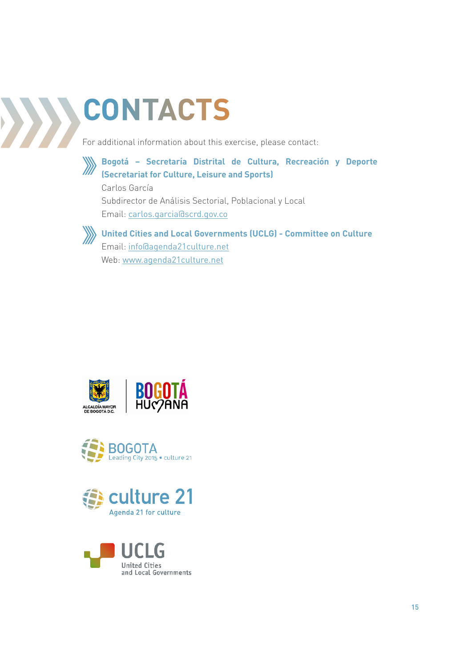# **CONTACTS**

For additional information about this exercise, please contact:



**Bogotá – Secretaría Distrital de Cultura, Recreación y Deporte (Secretariat for Culture, Leisure and Sports)**

Carlos García Subdirector de Análisis Sectorial, Poblacional y Local Email: carlos.garcia@scrd.gov.co



**United Cities and Local Governments (UCLG) - Committee on Culture** Email: info@agenda21culture.net Web: www.agenda21culture.net